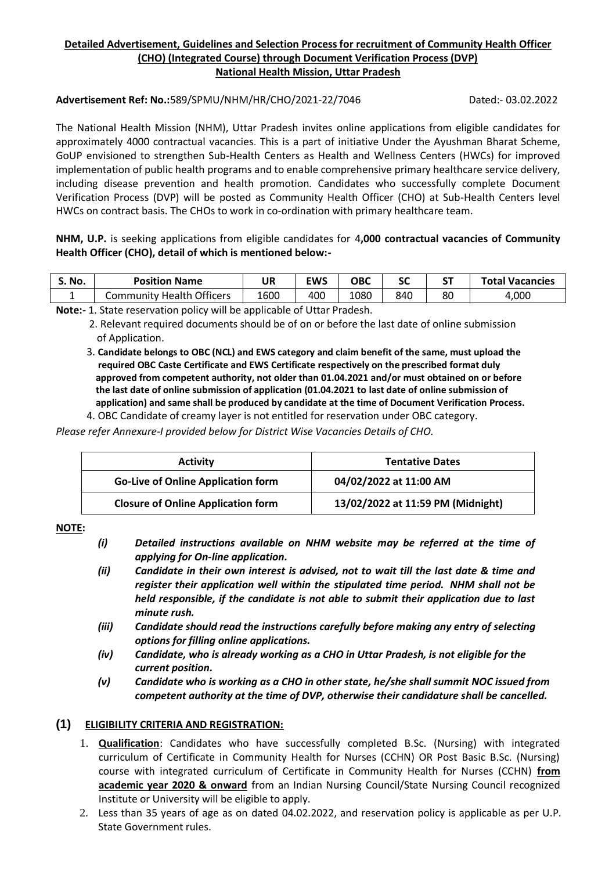# **Detailed Advertisement, Guidelines and Selection Process for recruitment of Community Health Officer (CHO) (Integrated Course) through Document Verification Process (DVP) National Health Mission, Uttar Pradesh**

#### **Advertisement Ref: No.:**589/SPMU/NHM/HR/CHO/2021-22/7046 Dated:- 03.02.2022

The National Health Mission (NHM), Uttar Pradesh invites online applications from eligible candidates for approximately 4000 contractual vacancies. This is a part of initiative Under the Ayushman Bharat Scheme, GoUP envisioned to strengthen Sub-Health Centers as Health and Wellness Centers (HWCs) for improved implementation of public health programs and to enable comprehensive primary healthcare service delivery, including disease prevention and health promotion. Candidates who successfully complete Document Verification Process (DVP) will be posted as Community Health Officer (CHO) at Sub-Health Centers level HWCs on contract basis. The CHOs to work in co-ordination with primary healthcare team.

**NHM, U.P.** is seeking applications from eligible candidates for 4**,000 contractual vacancies of Community Health Officer (CHO), detail of which is mentioned below:-**

| S. No. | <b>Position Name</b>             | UR   | <b>EWS</b> | ОВС  | <b></b><br>JL. | rт | <b>Total Vacancies</b> |
|--------|----------------------------------|------|------------|------|----------------|----|------------------------|
|        | <b>Community Health Officers</b> | 1600 | 400        | 1080 | 840            | 80 | 4.000                  |

**Note:-** 1. State reservation policy will be applicable of Uttar Pradesh.

4. OBC Candidate of creamy layer is not entitled for reservation under OBC category.

*Please refer Annexure-I provided below for District Wise Vacancies Details of CHO.*

| <b>Activity</b>                           | <b>Tentative Dates</b>            |  |  |
|-------------------------------------------|-----------------------------------|--|--|
| <b>Go-Live of Online Application form</b> | 04/02/2022 at 11:00 AM            |  |  |
| <b>Closure of Online Application form</b> | 13/02/2022 at 11:59 PM (Midnight) |  |  |

**NOTE:**

- *(i) Detailed instructions available on NHM website may be referred at the time of applying for On-line application.*
- *(ii) Candidate in their own interest is advised, not to wait till the last date & time and register their application well within the stipulated time period. NHM shall not be held responsible, if the candidate is not able to submit their application due to last minute rush.*
- *(iii) Candidate should read the instructions carefully before making any entry of selecting options for filling online applications.*
- *(iv) Candidate, who is already working as a CHO in Uttar Pradesh, is not eligible for the current position.*
- *(v) Candidate who is working as a CHO in other state, he/she shall summit NOC issued from competent authority at the time of DVP, otherwise their candidature shall be cancelled.*

## **(1) ELIGIBILITY CRITERIA AND REGISTRATION:**

- 1. **Qualification**: Candidates who have successfully completed B.Sc. (Nursing) with integrated curriculum of Certificate in Community Health for Nurses (CCHN) OR Post Basic B.Sc. (Nursing) course with integrated curriculum of Certificate in Community Health for Nurses (CCHN) **from academic year 2020 & onward** from an Indian Nursing Council/State Nursing Council recognized Institute or University will be eligible to apply.
- 2. Less than 35 years of age as on dated 04.02.2022, and reservation policy is applicable as per U.P. State Government rules.

 <sup>2.</sup> Relevant required documents should be of on or before the last date of online submission of Application.

 <sup>3.</sup> **Candidate belongs to OBC (NCL) and EWS category and claim benefit of the same, must upload the required OBC Caste Certificate and EWS Certificate respectively on the prescribed format duly approved from competent authority, not older than 01.04.2021 and/or must obtained on or before the last date of online submission of application (01.04.2021 to last date of online submission of application) and same shall be produced by candidate at the time of Document Verification Process.**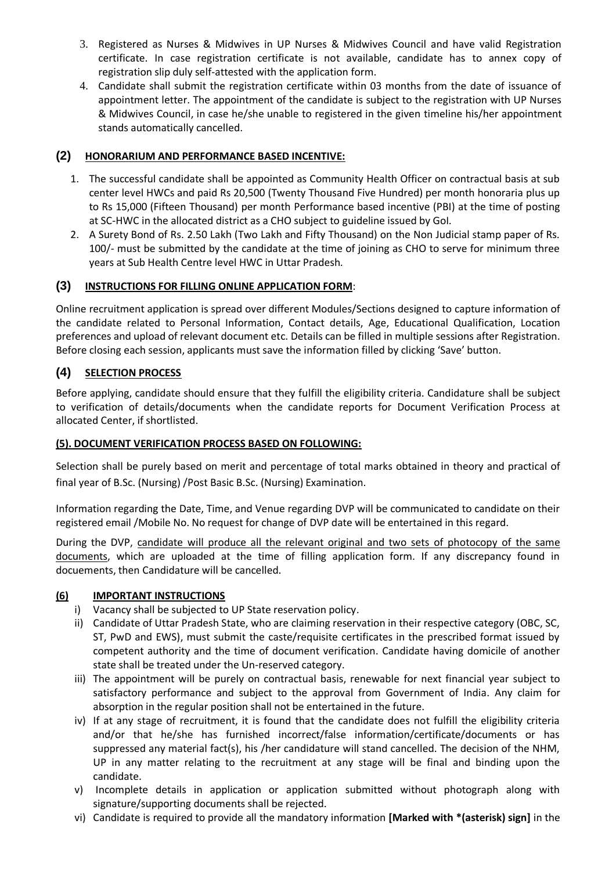- 3. Registered as Nurses & Midwives in UP Nurses & Midwives Council and have valid Registration certificate. In case registration certificate is not available, candidate has to annex copy of registration slip duly self-attested with the application form.
- 4. Candidate shall submit the registration certificate within 03 months from the date of issuance of appointment letter. The appointment of the candidate is subject to the registration with UP Nurses & Midwives Council, in case he/she unable to registered in the given timeline his/her appointment stands automatically cancelled.

# **(2) HONORARIUM AND PERFORMANCE BASED INCENTIVE:**

- 1. The successful candidate shall be appointed as Community Health Officer on contractual basis at sub center level HWCs and paid Rs 20,500 (Twenty Thousand Five Hundred) per month honoraria plus up to Rs 15,000 (Fifteen Thousand) per month Performance based incentive (PBI) at the time of posting at SC-HWC in the allocated district as a CHO subject to guideline issued by GoI.
- 2. A Surety Bond of Rs. 2.50 Lakh (Two Lakh and Fifty Thousand) on the Non Judicial stamp paper of Rs. 100/- must be submitted by the candidate at the time of joining as CHO to serve for minimum three years at Sub Health Centre level HWC in Uttar Pradesh.

# **(3) INSTRUCTIONS FOR FILLING ONLINE APPLICATION FORM**:

Online recruitment application is spread over different Modules/Sections designed to capture information of the candidate related to Personal Information, Contact details, Age, Educational Qualification, Location preferences and upload of relevant document etc. Details can be filled in multiple sessions after Registration. Before closing each session, applicants must save the information filled by clicking 'Save' button.

# **(4) SELECTION PROCESS**

Before applying, candidate should ensure that they fulfill the eligibility criteria. Candidature shall be subject to verification of details/documents when the candidate reports for Document Verification Process at allocated Center, if shortlisted.

## **(5). DOCUMENT VERIFICATION PROCESS BASED ON FOLLOWING:**

Selection shall be purely based on merit and percentage of total marks obtained in theory and practical of final year of B.Sc. (Nursing) /Post Basic B.Sc. (Nursing) Examination.

Information regarding the Date, Time, and Venue regarding DVP will be communicated to candidate on their registered email /Mobile No. No request for change of DVP date will be entertained in this regard.

During the DVP, candidate will produce all the relevant original and two sets of photocopy of the same documents, which are uploaded at the time of filling application form. If any discrepancy found in docuements, then Candidature will be cancelled.

## **(6) IMPORTANT INSTRUCTIONS**

- i) Vacancy shall be subjected to UP State reservation policy.
- ii) Candidate of Uttar Pradesh State, who are claiming reservation in their respective category (OBC, SC, ST, PwD and EWS), must submit the caste/requisite certificates in the prescribed format issued by competent authority and the time of document verification. Candidate having domicile of another state shall be treated under the Un-reserved category.
- iii) The appointment will be purely on contractual basis, renewable for next financial year subject to satisfactory performance and subject to the approval from Government of India. Any claim for absorption in the regular position shall not be entertained in the future.
- iv) If at any stage of recruitment, it is found that the candidate does not fulfill the eligibility criteria and/or that he/she has furnished incorrect/false information/certificate/documents or has suppressed any material fact(s), his /her candidature will stand cancelled. The decision of the NHM, UP in any matter relating to the recruitment at any stage will be final and binding upon the candidate.
- v) Incomplete details in application or application submitted without photograph along with signature/supporting documents shall be rejected.
- vi) Candidate is required to provide all the mandatory information **[Marked with \*(asterisk) sign]** in the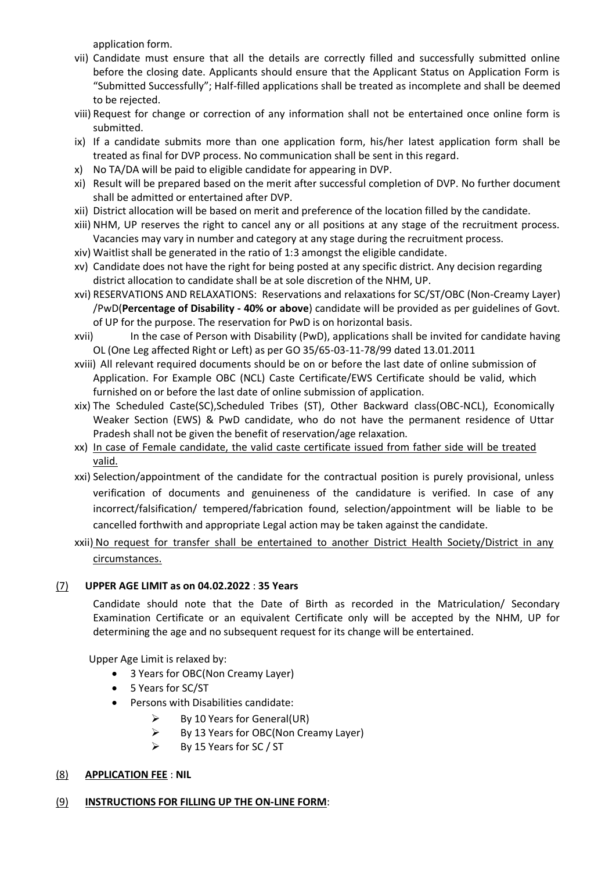application form.

- vii) Candidate must ensure that all the details are correctly filled and successfully submitted online before the closing date. Applicants should ensure that the Applicant Status on Application Form is "Submitted Successfully"; Half-filled applications shall be treated as incomplete and shall be deemed to be rejected.
- viii) Request for change or correction of any information shall not be entertained once online form is submitted.
- ix) If a candidate submits more than one application form, his/her latest application form shall be treated as final for DVP process. No communication shall be sent in this regard.
- x) No TA/DA will be paid to eligible candidate for appearing in DVP.
- xi) Result will be prepared based on the merit after successful completion of DVP. No further document shall be admitted or entertained after DVP.
- xii) District allocation will be based on merit and preference of the location filled by the candidate.
- xiii) NHM, UP reserves the right to cancel any or all positions at any stage of the recruitment process. Vacancies may vary in number and category at any stage during the recruitment process.
- xiv) Waitlist shall be generated in the ratio of 1:3 amongst the eligible candidate.
- xv) Candidate does not have the right for being posted at any specific district. Any decision regarding district allocation to candidate shall be at sole discretion of the NHM, UP.
- xvi) RESERVATIONS AND RELAXATIONS: Reservations and relaxations for SC/ST/OBC (Non-Creamy Layer) /PwD(**Percentage of Disability - 40% or above**) candidate will be provided as per guidelines of Govt. of UP for the purpose. The reservation for PwD is on horizontal basis.
- xvii) In the case of Person with Disability (PwD), applications shall be invited for candidate having OL (One Leg affected Right or Left) as per GO 35/65-03-11-78/99 dated 13.01.2011
- xviii) All relevant required documents should be on or before the last date of online submission of Application. For Example OBC (NCL) Caste Certificate/EWS Certificate should be valid, which furnished on or before the last date of online submission of application.
- xix) The Scheduled Caste(SC),Scheduled Tribes (ST), Other Backward class(OBC-NCL), Economically Weaker Section (EWS) & PwD candidate, who do not have the permanent residence of Uttar Pradesh shall not be given the benefit of reservation/age relaxation.
- xx) In case of Female candidate, the valid caste certificate issued from father side will be treated valid.
- xxi) Selection/appointment of the candidate for the contractual position is purely provisional, unless verification of documents and genuineness of the candidature is verified. In case of any incorrect/falsification/ tempered/fabrication found, selection/appointment will be liable to be cancelled forthwith and appropriate Legal action may be taken against the candidate.

# xxii) No request for transfer shall be entertained to another District Health Society/District in any circumstances.

## (7) **UPPER AGE LIMIT as on 04.02.2022** : **35 Years**

Candidate should note that the Date of Birth as recorded in the Matriculation/ Secondary Examination Certificate or an equivalent Certificate only will be accepted by the NHM, UP for determining the age and no subsequent request for its change will be entertained.

Upper Age Limit is relaxed by:

- 3 Years for OBC(Non Creamy Layer)
- 5 Years for SC/ST
- Persons with Disabilities candidate:
	- $\triangleright$  By 10 Years for General(UR)
	- $\triangleright$  By 13 Years for OBC(Non Creamy Layer)
	- $\triangleright$  By 15 Years for SC / ST

## (8) **APPLICATION FEE** : **NIL**

# (9) **INSTRUCTIONS FOR FILLING UP THE ON-LINE FORM**: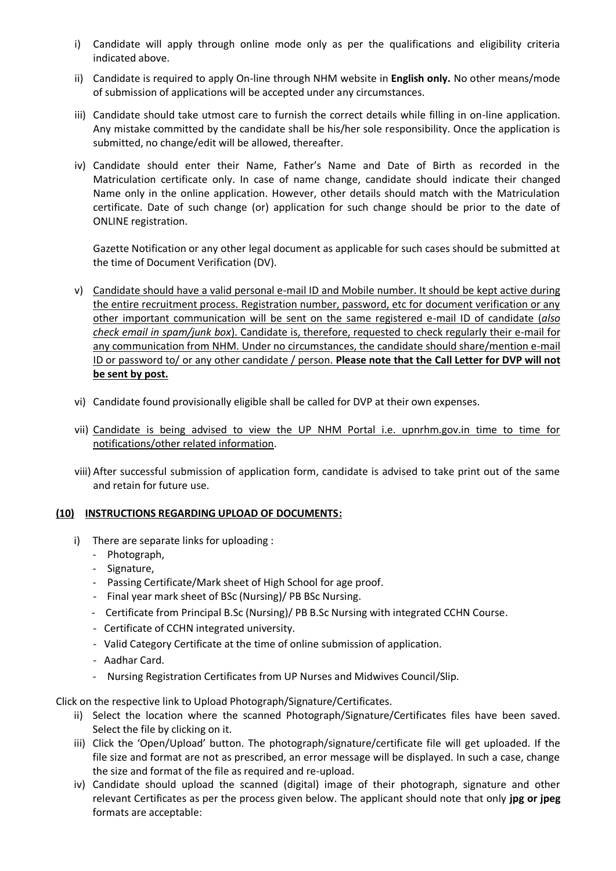- i) Candidate will apply through online mode only as per the qualifications and eligibility criteria indicated above.
- ii) Candidate is required to apply On-line through NHM website in **English only.** No other means/mode of submission of applications will be accepted under any circumstances.
- iii) Candidate should take utmost care to furnish the correct details while filling in on-line application. Any mistake committed by the candidate shall be his/her sole responsibility. Once the application is submitted, no change/edit will be allowed, thereafter.
- iv) Candidate should enter their Name, Father's Name and Date of Birth as recorded in the Matriculation certificate only. In case of name change, candidate should indicate their changed Name only in the online application. However, other details should match with the Matriculation certificate. Date of such change (or) application for such change should be prior to the date of ONLINE registration.

Gazette Notification or any other legal document as applicable for such cases should be submitted at the time of Document Verification (DV).

- v) Candidate should have a valid personal e-mail ID and Mobile number. It should be kept active during the entire recruitment process. Registration number, password, etc for document verification or any other important communication will be sent on the same registered e-mail ID of candidate (*also check email in spam/junk box*). Candidate is, therefore, requested to check regularly their e-mail for any communication from NHM. Under no circumstances, the candidate should share/mention e-mail ID or password to/ or any other candidate / person. **Please note that the Call Letter for DVP will not be sent by post.**
- vi) Candidate found provisionally eligible shall be called for DVP at their own expenses.
- vii) Candidate is being advised to view the UP NHM Portal i.e. upnrhm.gov.in time to time for notifications/other related information.
- viii) After successful submission of application form, candidate is advised to take print out of the same and retain for future use.

## **(10) INSTRUCTIONS REGARDING UPLOAD OF DOCUMENTS:**

- i) There are separate links for uploading :
	- Photograph,
	- Signature,
	- Passing Certificate/Mark sheet of High School for age proof.
	- Final year mark sheet of BSc (Nursing)/ PB BSc Nursing.
	- Certificate from Principal B.Sc (Nursing)/ PB B.Sc Nursing with integrated CCHN Course.
	- Certificate of CCHN integrated university.
	- Valid Category Certificate at the time of online submission of application.
	- Aadhar Card.
	- Nursing Registration Certificates from UP Nurses and Midwives Council/Slip.

Click on the respective link to Upload Photograph/Signature/Certificates.

- ii) Select the location where the scanned Photograph/Signature/Certificates files have been saved. Select the file by clicking on it.
- iii) Click the 'Open/Upload' button. The photograph/signature/certificate file will get uploaded. If the file size and format are not as prescribed, an error message will be displayed. In such a case, change the size and format of the file as required and re-upload.
- iv) Candidate should upload the scanned (digital) image of their photograph, signature and other relevant Certificates as per the process given below. The applicant should note that only **jpg or jpeg** formats are acceptable: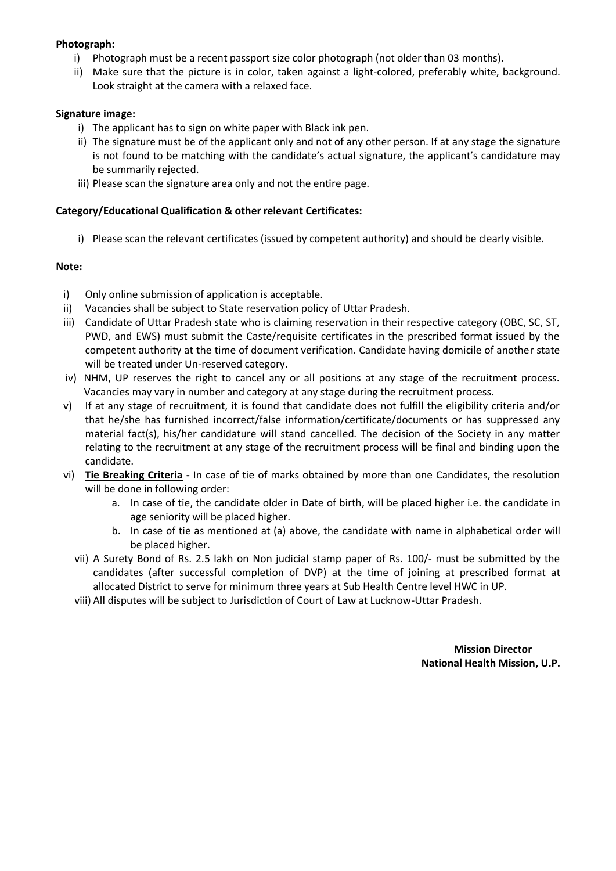#### **Photograph:**

- i) Photograph must be a recent passport size color photograph (not older than 03 months).
- ii) Make sure that the picture is in color, taken against a light-colored, preferably white, background. Look straight at the camera with a relaxed face.

#### **Signature image:**

- i) The applicant has to sign on white paper with Black ink pen.
- ii) The signature must be of the applicant only and not of any other person. If at any stage the signature is not found to be matching with the candidate's actual signature, the applicant's candidature may be summarily rejected.
- iii) Please scan the signature area only and not the entire page.

#### **Category/Educational Qualification & other relevant Certificates:**

i) Please scan the relevant certificates (issued by competent authority) and should be clearly visible.

#### **Note:**

- i) Only online submission of application is acceptable.
- ii) Vacancies shall be subject to State reservation policy of Uttar Pradesh.
- iii) Candidate of Uttar Pradesh state who is claiming reservation in their respective category (OBC, SC, ST, PWD, and EWS) must submit the Caste/requisite certificates in the prescribed format issued by the competent authority at the time of document verification. Candidate having domicile of another state will be treated under Un-reserved category.
- iv) NHM, UP reserves the right to cancel any or all positions at any stage of the recruitment process. Vacancies may vary in number and category at any stage during the recruitment process.
- v) If at any stage of recruitment, it is found that candidate does not fulfill the eligibility criteria and/or that he/she has furnished incorrect/false information/certificate/documents or has suppressed any material fact(s), his/her candidature will stand cancelled. The decision of the Society in any matter relating to the recruitment at any stage of the recruitment process will be final and binding upon the candidate.
- vi) **Tie Breaking Criteria -** In case of tie of marks obtained by more than one Candidates, the resolution will be done in following order:
	- a. In case of tie, the candidate older in Date of birth, will be placed higher i.e. the candidate in age seniority will be placed higher.
	- b. In case of tie as mentioned at (a) above, the candidate with name in alphabetical order will be placed higher.
	- vii) A Surety Bond of Rs. 2.5 lakh on Non judicial stamp paper of Rs. 100/- must be submitted by the candidates (after successful completion of DVP) at the time of joining at prescribed format at allocated District to serve for minimum three years at Sub Health Centre level HWC in UP.
	- viii) All disputes will be subject to Jurisdiction of Court of Law at Lucknow-Uttar Pradesh.

 **Mission Director National Health Mission, U.P.**